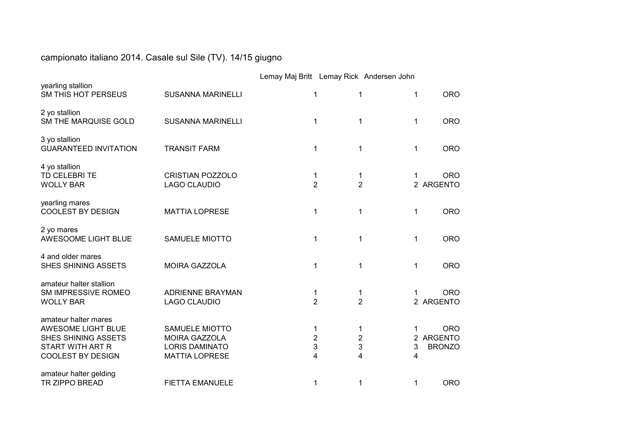## campionato italiano 2014. Casale sul Sile (TV). 14/15 giugno

|                                                                                                                                 |                                                                                                 | Lemay Maj Britt Lemay Rick Andersen John |                                                               |              |                                          |
|---------------------------------------------------------------------------------------------------------------------------------|-------------------------------------------------------------------------------------------------|------------------------------------------|---------------------------------------------------------------|--------------|------------------------------------------|
| yearling stallion<br>SM THIS HOT PERSEUS                                                                                        | <b>SUSANNA MARINELLI</b>                                                                        | 1                                        | 1                                                             | $\mathbf{1}$ | <b>ORO</b>                               |
| 2 yo stallion<br>SM THE MARQUISE GOLD                                                                                           | <b>SUSANNA MARINELLI</b>                                                                        | 1                                        | 1                                                             | 1            | <b>ORO</b>                               |
| 3 yo stallion<br><b>GUARANTEED INVITATION</b>                                                                                   | <b>TRANSIT FARM</b>                                                                             | 1                                        | 1                                                             | $\mathbf{1}$ | <b>ORO</b>                               |
| 4 yo stallion<br>TD CELEBRITE<br><b>WOLLY BAR</b>                                                                               | <b>CRISTIAN POZZOLO</b><br><b>LAGO CLAUDIO</b>                                                  |                                          | 1<br>1<br>$\overline{2}$<br>$\overline{2}$                    | 1            | <b>ORO</b><br>2 ARGENTO                  |
| yearling mares<br><b>COOLEST BY DESIGN</b>                                                                                      | <b>MATTIA LOPRESE</b>                                                                           | 1                                        | 1                                                             | 1            | <b>ORO</b>                               |
| 2 yo mares<br>AWESOOME LIGHT BLUE                                                                                               | SAMUELE MIOTTO                                                                                  | 1                                        | 1                                                             | $\mathbf 1$  | <b>ORO</b>                               |
| 4 and older mares<br>SHES SHINING ASSETS                                                                                        | <b>MOIRA GAZZOLA</b>                                                                            | 1                                        | 1                                                             | 1            | <b>ORO</b>                               |
| amateur halter stallion<br>SM IMPRESSIVE ROMEO<br><b>WOLLY BAR</b>                                                              | <b>ADRIENNE BRAYMAN</b><br><b>LAGO CLAUDIO</b>                                                  | 1                                        | 1<br>$\overline{2}$<br>$\overline{2}$                         | 1            | <b>ORO</b><br>2 ARGENTO                  |
| amateur halter mares<br>AWESOME LIGHT BLUE<br><b>SHES SHINING ASSETS</b><br><b>START WITH ART R</b><br><b>COOLEST BY DESIGN</b> | <b>SAMUELE MIOTTO</b><br><b>MOIRA GAZZOLA</b><br><b>LORIS DAMINATO</b><br><b>MATTIA LOPRESE</b> | 1<br>4                                   | 1<br>$\overline{c}$<br>$\overline{\mathbf{c}}$<br>3<br>3<br>4 | 1<br>3<br>4  | <b>ORO</b><br>2 ARGENTO<br><b>BRONZO</b> |
| amateur halter gelding<br><b>TR ZIPPO BREAD</b>                                                                                 | <b>FIETTA EMANUELE</b>                                                                          |                                          | 1<br>1                                                        | 1            | <b>ORO</b>                               |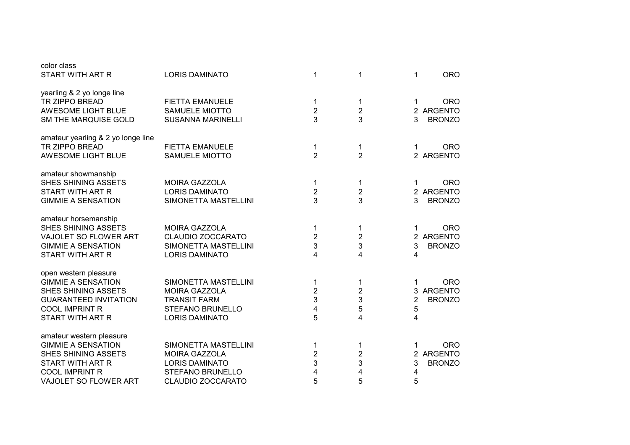| color class<br>START WITH ART R                                                                                                                                      | <b>LORIS DAMINATO</b>                                                                                                   | 1                                               | 1                                  | <b>ORO</b><br>1                                                                     |
|----------------------------------------------------------------------------------------------------------------------------------------------------------------------|-------------------------------------------------------------------------------------------------------------------------|-------------------------------------------------|------------------------------------|-------------------------------------------------------------------------------------|
| yearling & 2 yo longe line<br><b>TR ZIPPO BREAD</b><br>AWESOME LIGHT BLUE<br>SM THE MARQUISE GOLD                                                                    | <b>FIETTA EMANUELE</b><br>SAMUELE MIOTTO<br><b>SUSANNA MARINELLI</b>                                                    | 1<br>$\sqrt{2}$<br>3                            | 1<br>$\sqrt{2}$<br>3               | <b>ORO</b><br>1<br>2 ARGENTO<br>3<br><b>BRONZO</b>                                  |
| amateur yearling & 2 yo longe line<br><b>TR ZIPPO BREAD</b><br>AWESOME LIGHT BLUE                                                                                    | <b>FIETTA EMANUELE</b><br>SAMUELE MIOTTO                                                                                | 1<br>$\overline{2}$                             | 1<br>$\overline{2}$                | <b>ORO</b><br>1<br>2 ARGENTO                                                        |
| amateur showmanship<br><b>SHES SHINING ASSETS</b><br><b>START WITH ART R</b><br><b>GIMMIE A SENSATION</b>                                                            | <b>MOIRA GAZZOLA</b><br><b>LORIS DAMINATO</b><br>SIMONETTA MASTELLINI                                                   | 1<br>$\overline{2}$<br>3                        | 1<br>$\overline{2}$<br>3           | <b>ORO</b><br>1<br><b>ARGENTO</b><br>$\overline{2}$<br>3<br><b>BRONZO</b>           |
| amateur horsemanship<br><b>SHES SHINING ASSETS</b><br>VAJOLET SO FLOWER ART<br><b>GIMMIE A SENSATION</b><br><b>START WITH ART R</b>                                  | <b>MOIRA GAZZOLA</b><br>CLAUDIO ZOCCARATO<br>SIMONETTA MASTELLINI<br><b>LORIS DAMINATO</b>                              | 1<br>$\mathbf 2$<br>3<br>4                      | 1<br>2<br>3<br>4                   | <b>ORO</b><br>1<br><b>ARGENTO</b><br>$\overline{2}$<br>3<br><b>BRONZO</b><br>4      |
| open western pleasure<br><b>GIMMIE A SENSATION</b><br><b>SHES SHINING ASSETS</b><br><b>GUARANTEED INVITATION</b><br><b>COOL IMPRINT R</b><br><b>START WITH ART R</b> | SIMONETTA MASTELLINI<br><b>MOIRA GAZZOLA</b><br><b>TRANSIT FARM</b><br><b>STEFANO BRUNELLO</b><br><b>LORIS DAMINATO</b> | 1<br>$\overline{2}$<br>3<br>$\overline{4}$<br>5 | 1<br>$\overline{2}$<br>3<br>5<br>4 | <b>ORO</b><br>1<br><b>ARGENTO</b><br>3<br>$\overline{2}$<br><b>BRONZO</b><br>5<br>4 |
| amateur western pleasure<br><b>GIMMIE A SENSATION</b><br>SHES SHINING ASSETS<br><b>START WITH ART R</b><br><b>COOL IMPRINT R</b><br>VAJOLET SO FLOWER ART            | SIMONETTA MASTELLINI<br><b>MOIRA GAZZOLA</b><br><b>LORIS DAMINATO</b><br>STEFANO BRUNELLO<br>CLAUDIO ZOCCARATO          | 1<br>$\mathbf 2$<br>3<br>4<br>5                 | 1<br>2<br>3<br>4<br>5              | <b>ORO</b><br>1<br><b>ARGENTO</b><br>2<br>3<br><b>BRONZO</b><br>4<br>5              |